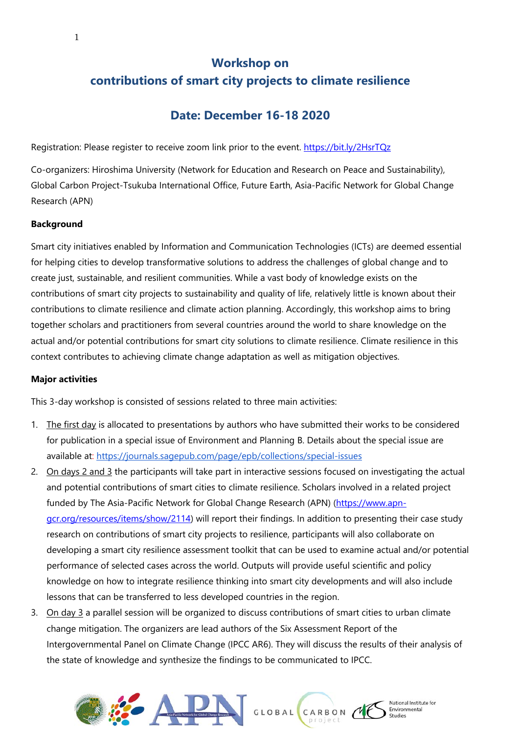# **Workshop on contributions of smart city projects to climate resilience**

## **Date: December 16-18 2020**

Registration: Please register to receive zoom link prior to the event. <https://bit.ly/2HsrTQz>

Co-organizers: Hiroshima University (Network for Education and Research on Peace and Sustainability), Global Carbon Project-Tsukuba International Office, Future Earth, Asia-Pacific Network for Global Change Research (APN)

### **Background**

Smart city initiatives enabled by Information and Communication Technologies (ICTs) are deemed essential for helping cities to develop transformative solutions to address the challenges of global change and to create just, sustainable, and resilient communities. While a vast body of knowledge exists on the contributions of smart city projects to sustainability and quality of life, relatively little is known about their contributions to climate resilience and climate action planning. Accordingly, this workshop aims to bring together scholars and practitioners from several countries around the world to share knowledge on the actual and/or potential contributions for smart city solutions to climate resilience. Climate resilience in this context contributes to achieving climate change adaptation as well as mitigation objectives.

#### **Major activities**

This 3-day workshop is consisted of sessions related to three main activities:

- 1. The first day is allocated to presentations by authors who have submitted their works to be considered for publication in a special issue of Environment and Planning B. Details about the special issue are available at:<https://journals.sagepub.com/page/epb/collections/special-issues>
- 2. On days 2 and 3 the participants will take part in interactive sessions focused on investigating the actual and potential contributions of smart cities to climate resilience. Scholars involved in a related project funded by The Asia-Pacific Network for Global Change Research (APN) [\(https://www.apn](https://www.apn-gcr.org/resources/items/show/2114)[gcr.org/resources/items/show/2114\)](https://www.apn-gcr.org/resources/items/show/2114) will report their findings. In addition to presenting their case study research on contributions of smart city projects to resilience, participants will also collaborate on developing a smart city resilience assessment toolkit that can be used to examine actual and/or potential performance of selected cases across the world. Outputs will provide useful scientific and policy knowledge on how to integrate resilience thinking into smart city developments and will also include lessons that can be transferred to less developed countries in the region.
- 3. On day 3 a parallel session will be organized to discuss contributions of smart cities to urban climate change mitigation. The organizers are lead authors of the Six Assessment Report of the Intergovernmental Panel on Climate Change (IPCC AR6). They will discuss the results of their analysis of the state of knowledge and synthesize the findings to be communicated to IPCC.





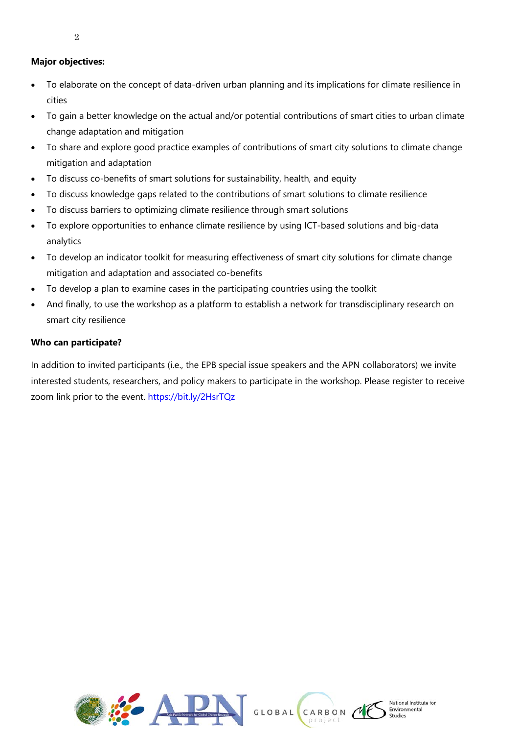### **Major objectives:**

- To elaborate on the concept of data-driven urban planning and its implications for climate resilience in cities
- To gain a better knowledge on the actual and/or potential contributions of smart cities to urban climate change adaptation and mitigation
- To share and explore good practice examples of contributions of smart city solutions to climate change mitigation and adaptation
- To discuss co-benefits of smart solutions for sustainability, health, and equity
- To discuss knowledge gaps related to the contributions of smart solutions to climate resilience
- To discuss barriers to optimizing climate resilience through smart solutions
- To explore opportunities to enhance climate resilience by using ICT-based solutions and big-data analytics
- To develop an indicator toolkit for measuring effectiveness of smart city solutions for climate change mitigation and adaptation and associated co-benefits
- To develop a plan to examine cases in the participating countries using the toolkit
- And finally, to use the workshop as a platform to establish a network for transdisciplinary research on smart city resilience

### **Who can participate?**

In addition to invited participants (i.e., the EPB special issue speakers and the APN collaborators) we invite interested students, researchers, and policy makers to participate in the workshop. Please register to receive zoom link prior to the event. <https://bit.ly/2HsrTQz>



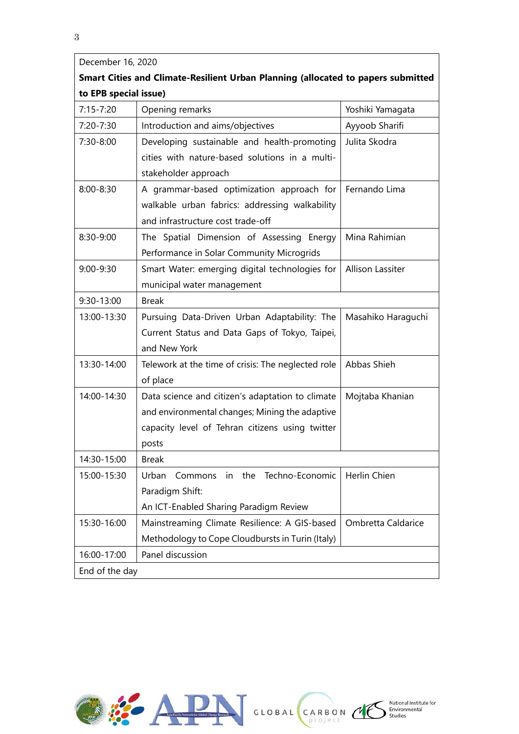| December 16, 2020                                                                |                                                    |                         |  |
|----------------------------------------------------------------------------------|----------------------------------------------------|-------------------------|--|
| Smart Cities and Climate-Resilient Urban Planning (allocated to papers submitted |                                                    |                         |  |
| to EPB special issue)                                                            |                                                    |                         |  |
| $7:15 - 7:20$                                                                    | Opening remarks                                    | Yoshiki Yamagata        |  |
| 7:20-7:30                                                                        | Introduction and aims/objectives                   | Ayyoob Sharifi          |  |
| 7:30-8:00                                                                        | Developing sustainable and health-promoting        | Julita Skodra           |  |
|                                                                                  | cities with nature-based solutions in a multi-     |                         |  |
|                                                                                  | stakeholder approach                               |                         |  |
| 8:00-8:30                                                                        | A grammar-based optimization approach for          | Fernando Lima           |  |
|                                                                                  | walkable urban fabrics: addressing walkability     |                         |  |
|                                                                                  | and infrastructure cost trade-off                  |                         |  |
| 8:30-9:00                                                                        | The Spatial Dimension of Assessing Energy          | Mina Rahimian           |  |
|                                                                                  | Performance in Solar Community Microgrids          |                         |  |
| 9:00-9:30                                                                        | Smart Water: emerging digital technologies for     | <b>Allison Lassiter</b> |  |
|                                                                                  | municipal water management                         |                         |  |
| 9:30-13:00                                                                       | <b>Break</b>                                       |                         |  |
| 13:00-13:30                                                                      | Pursuing Data-Driven Urban Adaptability: The       | Masahiko Haraguchi      |  |
|                                                                                  | Current Status and Data Gaps of Tokyo, Taipei,     |                         |  |
|                                                                                  | and New York                                       |                         |  |
| 13:30-14:00                                                                      | Telework at the time of crisis: The neglected role | Abbas Shieh             |  |
|                                                                                  | of place                                           |                         |  |
| 14:00-14:30                                                                      | Data science and citizen's adaptation to climate   | Mojtaba Khanian         |  |
|                                                                                  | and environmental changes; Mining the adaptive     |                         |  |
|                                                                                  | capacity level of Tehran citizens using twitter    |                         |  |
|                                                                                  | posts                                              |                         |  |
| 14:30-15:00                                                                      | <b>Break</b>                                       |                         |  |
| 15:00-15:30                                                                      | Techno-Economic<br>the<br>Urban<br>Commons<br>in   | Herlin Chien            |  |
|                                                                                  | Paradigm Shift:                                    |                         |  |
|                                                                                  | An ICT-Enabled Sharing Paradigm Review             |                         |  |
| 15:30-16:00                                                                      | Mainstreaming Climate Resilience: A GIS-based      | Ombretta Caldarice      |  |
|                                                                                  | Methodology to Cope Cloudbursts in Turin (Italy)   |                         |  |
| 16:00-17:00                                                                      | Panel discussion                                   |                         |  |
| End of the day                                                                   |                                                    |                         |  |

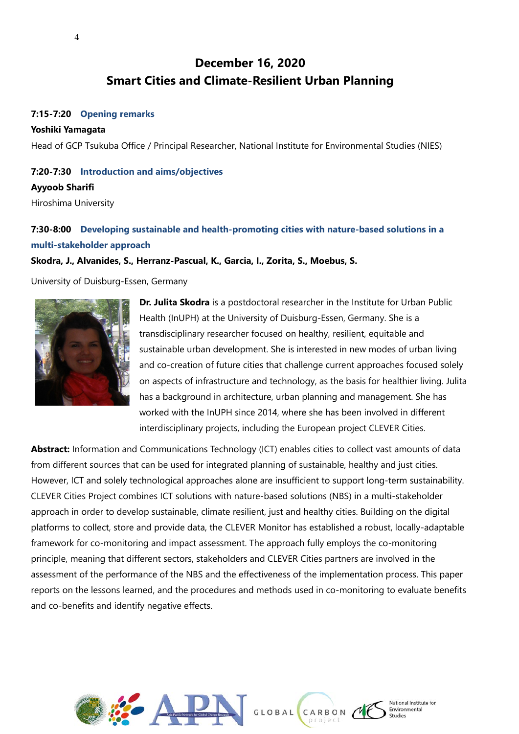# **December 16, 2020 Smart Cities and Climate-Resilient Urban Planning**

#### **7:15-7:20 Opening remarks**

#### **Yoshiki Yamagata**

Head of GCP Tsukuba Office / Principal Researcher, National Institute for Environmental Studies (NIES)

#### **7:20-7:30 Introduction and aims/objectives**

#### **Ayyoob Sharifi**

Hiroshima University

## **7:30-8:00 Developing sustainable and health-promoting cities with nature-based solutions in a multi-stakeholder approach**

**Skodra, J., Alvanides, S., Herranz-Pascual, K., Garcia, I., Zorita, S., Moebus, S.**

University of Duisburg-Essen, Germany



**Dr. Julita Skodra** is a postdoctoral researcher in the Institute for Urban Public Health (InUPH) at the University of Duisburg-Essen, Germany. She is a transdisciplinary researcher focused on healthy, resilient, equitable and sustainable urban development. She is interested in new modes of urban living and co-creation of future cities that challenge current approaches focused solely on aspects of infrastructure and technology, as the basis for healthier living. Julita has a background in architecture, urban planning and management. She has worked with the InUPH since 2014, where she has been involved in different interdisciplinary projects, including the European project CLEVER Cities.

**Abstract:** Information and Communications Technology (ICT) enables cities to collect vast amounts of data from different sources that can be used for integrated planning of sustainable, healthy and just cities. However, ICT and solely technological approaches alone are insufficient to support long-term sustainability. CLEVER Cities Project combines ICT solutions with nature-based solutions (NBS) in a multi-stakeholder approach in order to develop sustainable, climate resilient, just and healthy cities. Building on the digital platforms to collect, store and provide data, the CLEVER Monitor has established a robust, locally-adaptable framework for co-monitoring and impact assessment. The approach fully employs the co-monitoring principle, meaning that different sectors, stakeholders and CLEVER Cities partners are involved in the assessment of the performance of the NBS and the effectiveness of the implementation process. This paper reports on the lessons learned, and the procedures and methods used in co-monitoring to evaluate benefits and co-benefits and identify negative effects.





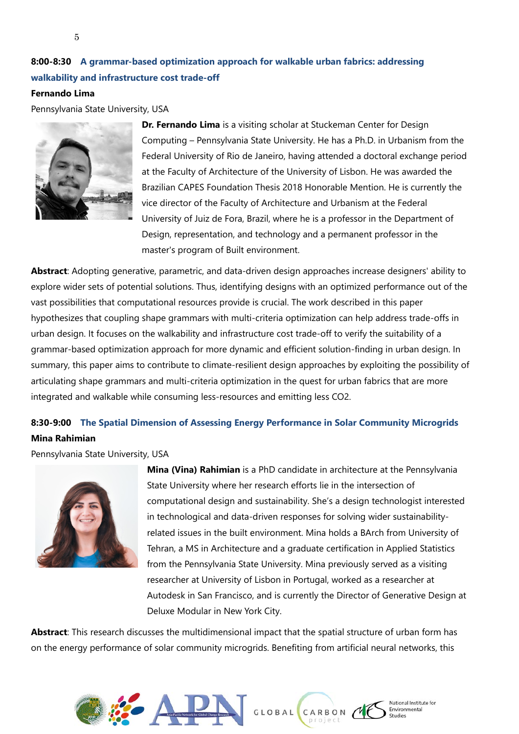## **8:00-8:30 A grammar-based optimization approach for walkable urban fabrics: addressing walkability and infrastructure cost trade-off**

#### **Fernando Lima**

Pennsylvania State University, USA



**Dr. Fernando Lima** is a visiting scholar at Stuckeman Center for Design Computing – Pennsylvania State University. He has a Ph.D. in Urbanism from the Federal University of Rio de Janeiro, having attended a doctoral exchange period at the Faculty of Architecture of the University of Lisbon. He was awarded the Brazilian CAPES Foundation Thesis 2018 Honorable Mention. He is currently the vice director of the Faculty of Architecture and Urbanism at the Federal University of Juiz de Fora, Brazil, where he is a professor in the Department of Design, representation, and technology and a permanent professor in the master's program of Built environment.

**Abstract**: Adopting generative, parametric, and data-driven design approaches increase designers' ability to explore wider sets of potential solutions. Thus, identifying designs with an optimized performance out of the vast possibilities that computational resources provide is crucial. The work described in this paper hypothesizes that coupling shape grammars with multi-criteria optimization can help address trade-offs in urban design. It focuses on the walkability and infrastructure cost trade-off to verify the suitability of a grammar-based optimization approach for more dynamic and efficient solution-finding in urban design. In summary, this paper aims to contribute to climate-resilient design approaches by exploiting the possibility of articulating shape grammars and multi-criteria optimization in the quest for urban fabrics that are more integrated and walkable while consuming less-resources and emitting less CO2.

# **8:30-9:00 The Spatial Dimension of Assessing Energy Performance in Solar Community Microgrids Mina Rahimian**

Pennsylvania State University, USA



**Mina (Vina) Rahimian** is a PhD candidate in architecture at the Pennsylvania State University where her research efforts lie in the intersection of computational design and sustainability. She's a design technologist interested in technological and data-driven responses for solving wider sustainabilityrelated issues in the built environment. Mina holds a BArch from University of Tehran, a MS in Architecture and a graduate certification in Applied Statistics from the Pennsylvania State University. Mina previously served as a visiting researcher at University of Lisbon in Portugal, worked as a researcher at Autodesk in San Francisco, and is currently the Director of Generative Design at Deluxe Modular in New York City.

**Abstract**: This research discusses the multidimensional impact that the spatial structure of urban form has on the energy performance of solar community microgrids. Benefiting from artificial neural networks, this



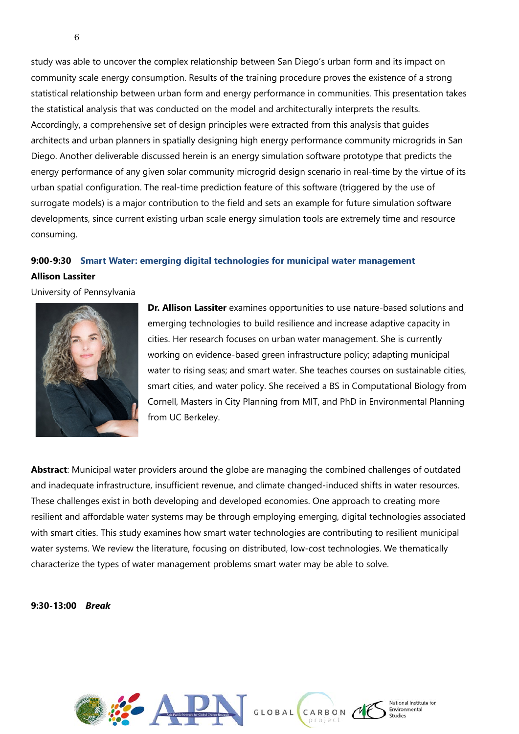study was able to uncover the complex relationship between San Diego's urban form and its impact on community scale energy consumption. Results of the training procedure proves the existence of a strong statistical relationship between urban form and energy performance in communities. This presentation takes the statistical analysis that was conducted on the model and architecturally interprets the results. Accordingly, a comprehensive set of design principles were extracted from this analysis that guides architects and urban planners in spatially designing high energy performance community microgrids in San Diego. Another deliverable discussed herein is an energy simulation software prototype that predicts the energy performance of any given solar community microgrid design scenario in real-time by the virtue of its urban spatial configuration. The real-time prediction feature of this software (triggered by the use of surrogate models) is a major contribution to the field and sets an example for future simulation software developments, since current existing urban scale energy simulation tools are extremely time and resource consuming.

### **9:00-9:30 Smart Water: emerging digital technologies for municipal water management**

## **Allison Lassiter**

University of Pennsylvania



**Dr. Allison Lassiter** examines opportunities to use nature-based solutions and emerging technologies to build resilience and increase adaptive capacity in cities. Her research focuses on urban water management. She is currently working on evidence-based green infrastructure policy; adapting municipal water to rising seas; and smart water. She teaches courses on sustainable cities, smart cities, and water policy. She received a BS in Computational Biology from Cornell, Masters in City Planning from MIT, and PhD in Environmental Planning from UC Berkeley.

**Abstract**: Municipal water providers around the globe are managing the combined challenges of outdated and inadequate infrastructure, insufficient revenue, and climate changed-induced shifts in water resources. These challenges exist in both developing and developed economies. One approach to creating more resilient and affordable water systems may be through employing emerging, digital technologies associated with smart cities. This study examines how smart water technologies are contributing to resilient municipal water systems. We review the literature, focusing on distributed, low-cost technologies. We thematically characterize the types of water management problems smart water may be able to solve.

**9:30-13:00** *Break*

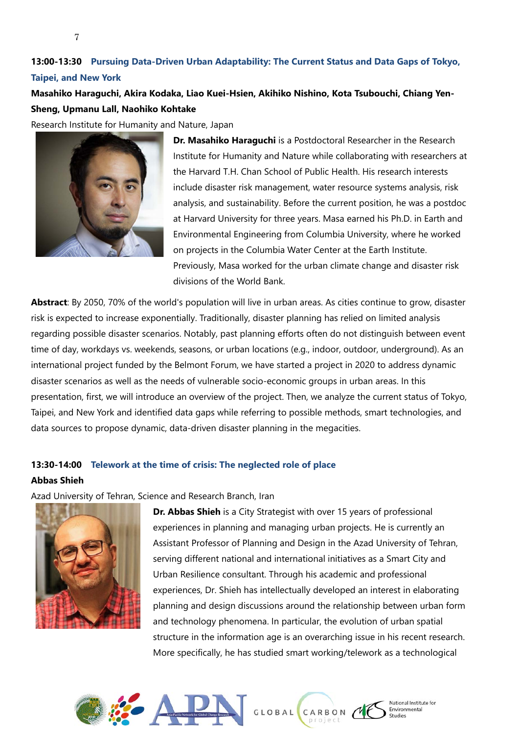# **13:00-13:30 Pursuing Data-Driven Urban Adaptability: The Current Status and Data Gaps of Tokyo, Taipei, and New York**

**Masahiko Haraguchi, Akira Kodaka, Liao Kuei-Hsien, Akihiko Nishino, Kota Tsubouchi, Chiang Yen-Sheng, Upmanu Lall, Naohiko Kohtake**

Research Institute for Humanity and Nature, Japan



7

**Dr. Masahiko Haraguchi** is a Postdoctoral Researcher in the Research Institute for Humanity and Nature while collaborating with researchers at the Harvard T.H. Chan School of Public Health. His research interests include disaster risk management, water resource systems analysis, risk analysis, and sustainability. Before the current position, he was a postdoc at Harvard University for three years. Masa earned his Ph.D. in Earth and Environmental Engineering from Columbia University, where he worked on projects in the Columbia Water Center at the Earth Institute. Previously, Masa worked for the urban climate change and disaster risk divisions of the World Bank.

**Abstract**: By 2050, 70% of the world's population will live in urban areas. As cities continue to grow, disaster risk is expected to increase exponentially. Traditionally, disaster planning has relied on limited analysis regarding possible disaster scenarios. Notably, past planning efforts often do not distinguish between event time of day, workdays vs. weekends, seasons, or urban locations (e.g., indoor, outdoor, underground). As an international project funded by the Belmont Forum, we have started a project in 2020 to address dynamic disaster scenarios as well as the needs of vulnerable socio-economic groups in urban areas. In this presentation, first, we will introduce an overview of the project. Then, we analyze the current status of Tokyo, Taipei, and New York and identified data gaps while referring to possible methods, smart technologies, and data sources to propose dynamic, data-driven disaster planning in the megacities.

### **13:30-14:00 Telework at the time of crisis: The neglected role of place Abbas Shieh**

Azad University of Tehran, Science and Research Branch, Iran



**Dr. Abbas Shieh** is a City Strategist with over 15 years of professional experiences in planning and managing urban projects. He is currently an Assistant Professor of Planning and Design in the Azad University of Tehran, serving different national and international initiatives as a Smart City and Urban Resilience consultant. Through his academic and professional experiences, Dr. Shieh has intellectually developed an interest in elaborating planning and design discussions around the relationship between urban form and technology phenomena. In particular, the evolution of urban spatial structure in the information age is an overarching issue in his recent research. More specifically, he has studied smart working/telework as a technological



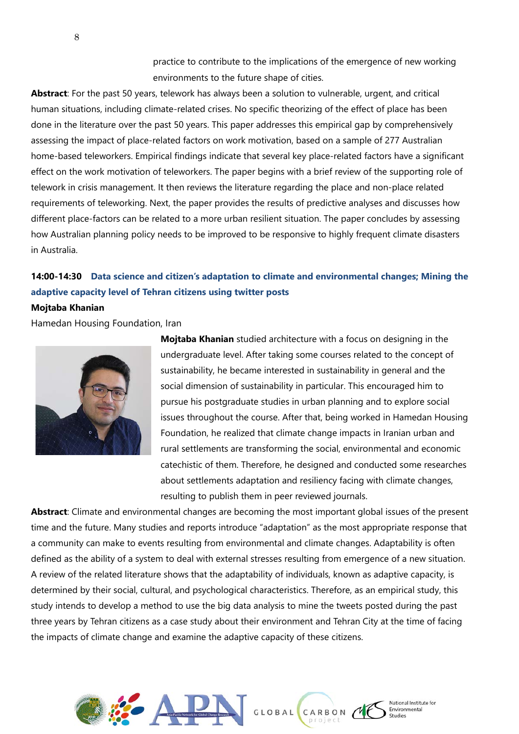practice to contribute to the implications of the emergence of new working environments to the future shape of cities.

**Abstract**: For the past 50 years, telework has always been a solution to vulnerable, urgent, and critical human situations, including climate-related crises. No specific theorizing of the effect of place has been done in the literature over the past 50 years. This paper addresses this empirical gap by comprehensively assessing the impact of place-related factors on work motivation, based on a sample of 277 Australian home-based teleworkers. Empirical findings indicate that several key place-related factors have a significant effect on the work motivation of teleworkers. The paper begins with a brief review of the supporting role of telework in crisis management. It then reviews the literature regarding the place and non-place related requirements of teleworking. Next, the paper provides the results of predictive analyses and discusses how different place-factors can be related to a more urban resilient situation. The paper concludes by assessing how Australian planning policy needs to be improved to be responsive to highly frequent climate disasters in Australia.

## **14:00-14:30 Data science and citizen's adaptation to climate and environmental changes; Mining the adaptive capacity level of Tehran citizens using twitter posts**

#### **Mojtaba Khanian**

Hamedan Housing Foundation, Iran



**Mojtaba Khanian** studied architecture with a focus on designing in the undergraduate level. After taking some courses related to the concept of sustainability, he became interested in sustainability in general and the social dimension of sustainability in particular. This encouraged him to pursue his postgraduate studies in urban planning and to explore social issues throughout the course. After that, being worked in Hamedan Housing Foundation, he realized that climate change impacts in Iranian urban and rural settlements are transforming the social, environmental and economic catechistic of them. Therefore, he designed and conducted some researches about settlements adaptation and resiliency facing with climate changes, resulting to publish them in peer reviewed journals.

**Abstract**: Climate and environmental changes are becoming the most important global issues of the present time and the future. Many studies and reports introduce "adaptation" as the most appropriate response that a community can make to events resulting from environmental and climate changes. Adaptability is often defined as the ability of a system to deal with external stresses resulting from emergence of a new situation. A review of the related literature shows that the adaptability of individuals, known as adaptive capacity, is determined by their social, cultural, and psychological characteristics. Therefore, as an empirical study, this study intends to develop a method to use the big data analysis to mine the tweets posted during the past three years by Tehran citizens as a case study about their environment and Tehran City at the time of facing the impacts of climate change and examine the adaptive capacity of these citizens.



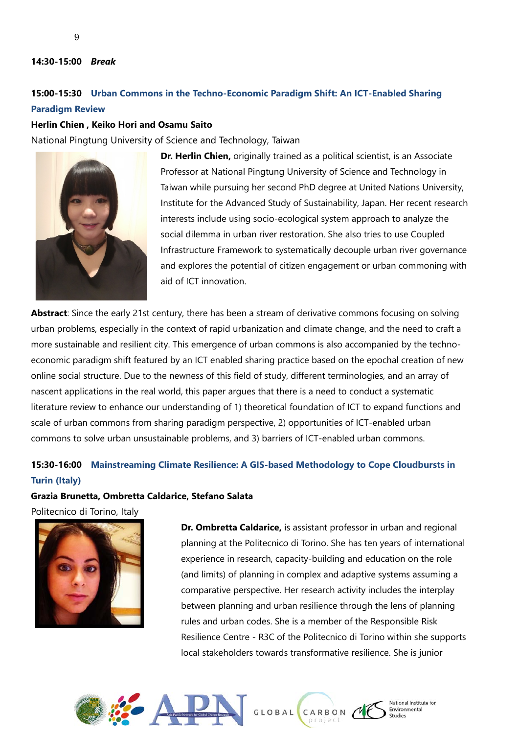### **14:30-15:00** *Break*

## **15:00-15:30 Urban Commons in the Techno-Economic Paradigm Shift: An ICT-Enabled Sharing Paradigm Review**

#### **Herlin Chien , Keiko Hori and Osamu Saito**

National Pingtung University of Science and Technology, Taiwan



**Dr. Herlin Chien,** originally trained as a political scientist, is an Associate Professor at National Pingtung University of Science and Technology in Taiwan while pursuing her second PhD degree at United Nations University, Institute for the Advanced Study of Sustainability, Japan. Her recent research interests include using socio-ecological system approach to analyze the social dilemma in urban river restoration. She also tries to use Coupled Infrastructure Framework to systematically decouple urban river governance and explores the potential of citizen engagement or urban commoning with aid of ICT innovation.

**Abstract**: Since the early 21st century, there has been a stream of derivative commons focusing on solving urban problems, especially in the context of rapid urbanization and climate change, and the need to craft a more sustainable and resilient city. This emergence of urban commons is also accompanied by the technoeconomic paradigm shift featured by an ICT enabled sharing practice based on the epochal creation of new online social structure. Due to the newness of this field of study, different terminologies, and an array of nascent applications in the real world, this paper argues that there is a need to conduct a systematic literature review to enhance our understanding of 1) theoretical foundation of ICT to expand functions and scale of urban commons from sharing paradigm perspective, 2) opportunities of ICT-enabled urban commons to solve urban unsustainable problems, and 3) barriers of ICT-enabled urban commons.

## **15:30-16:00 Mainstreaming Climate Resilience: A GIS-based Methodology to Cope Cloudbursts in Turin (Italy)**

#### **Grazia Brunetta, Ombretta Caldarice, Stefano Salata**

Politecnico di Torino, Italy



**Dr. Ombretta Caldarice,** is assistant professor in urban and regional planning at the Politecnico di Torino. She has ten years of international experience in research, capacity-building and education on the role (and limits) of planning in complex and adaptive systems assuming a comparative perspective. Her research activity includes the interplay between planning and urban resilience through the lens of planning rules and urban codes. She is a member of the Responsible Risk Resilience Centre - R3C of the Politecnico di Torino within she supports local stakeholders towards transformative resilience. She is junior



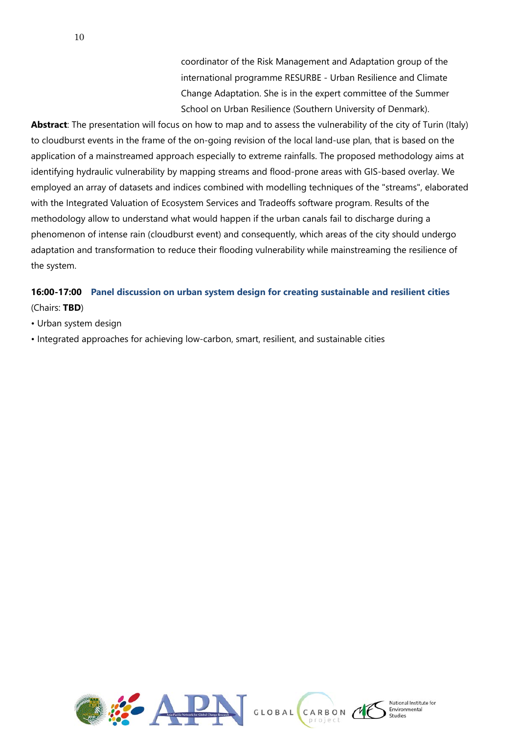coordinator of the Risk Management and Adaptation group of the international programme RESURBE - Urban Resilience and Climate Change Adaptation. She is in the expert committee of the Summer School on Urban Resilience (Southern University of Denmark).

**Abstract**: The presentation will focus on how to map and to assess the vulnerability of the city of Turin (Italy) to cloudburst events in the frame of the on-going revision of the local land-use plan, that is based on the application of a mainstreamed approach especially to extreme rainfalls. The proposed methodology aims at identifying hydraulic vulnerability by mapping streams and flood-prone areas with GIS-based overlay. We employed an array of datasets and indices combined with modelling techniques of the "streams", elaborated with the Integrated Valuation of Ecosystem Services and Tradeoffs software program. Results of the methodology allow to understand what would happen if the urban canals fail to discharge during a phenomenon of intense rain (cloudburst event) and consequently, which areas of the city should undergo adaptation and transformation to reduce their flooding vulnerability while mainstreaming the resilience of the system.

## **16:00-17:00 Panel discussion on urban system design for creating sustainable and resilient cities** (Chairs: **TBD**)

• Urban system design

• Integrated approaches for achieving low-carbon, smart, resilient, and sustainable cities

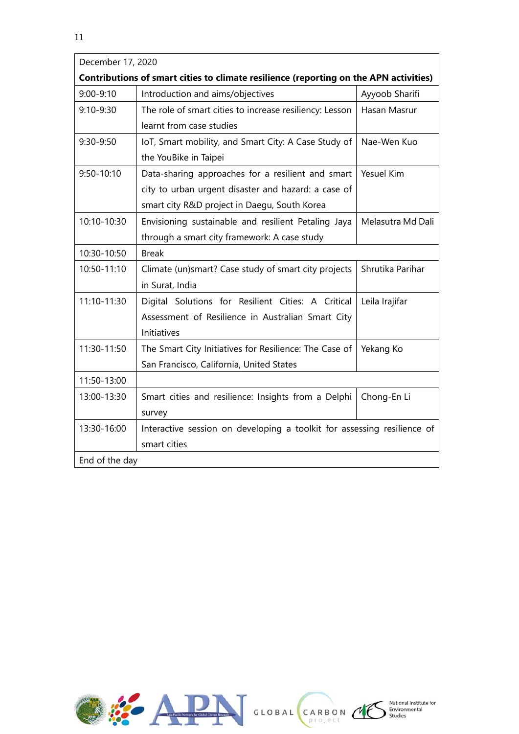| December 17, 2020                                                                     |                                                                         |                   |  |
|---------------------------------------------------------------------------------------|-------------------------------------------------------------------------|-------------------|--|
| Contributions of smart cities to climate resilience (reporting on the APN activities) |                                                                         |                   |  |
| $9:00 - 9:10$                                                                         | Introduction and aims/objectives                                        | Ayyoob Sharifi    |  |
| 9:10-9:30                                                                             | The role of smart cities to increase resiliency: Lesson                 | Hasan Masrur      |  |
|                                                                                       | learnt from case studies                                                |                   |  |
| 9:30-9:50                                                                             | IoT, Smart mobility, and Smart City: A Case Study of                    | Nae-Wen Kuo       |  |
|                                                                                       | the YouBike in Taipei                                                   |                   |  |
| $9:50 - 10:10$                                                                        | Data-sharing approaches for a resilient and smart                       | Yesuel Kim        |  |
|                                                                                       | city to urban urgent disaster and hazard: a case of                     |                   |  |
|                                                                                       | smart city R&D project in Daegu, South Korea                            |                   |  |
| 10:10-10:30                                                                           | Envisioning sustainable and resilient Petaling Jaya                     | Melasutra Md Dali |  |
|                                                                                       | through a smart city framework: A case study                            |                   |  |
| 10:30-10:50                                                                           | <b>Break</b>                                                            |                   |  |
| 10:50-11:10                                                                           | Climate (un)smart? Case study of smart city projects                    | Shrutika Parihar  |  |
|                                                                                       | in Surat, India                                                         |                   |  |
| 11:10-11:30                                                                           | Digital Solutions for Resilient Cities: A Critical                      | Leila Irajifar    |  |
|                                                                                       | Assessment of Resilience in Australian Smart City                       |                   |  |
|                                                                                       | Initiatives                                                             |                   |  |
| 11:30-11:50                                                                           | The Smart City Initiatives for Resilience: The Case of                  | Yekang Ko         |  |
|                                                                                       | San Francisco, California, United States                                |                   |  |
| 11:50-13:00                                                                           |                                                                         |                   |  |
| 13:00-13:30                                                                           | Smart cities and resilience: Insights from a Delphi                     | Chong-En Li       |  |
|                                                                                       | survey                                                                  |                   |  |
| 13:30-16:00                                                                           | Interactive session on developing a toolkit for assessing resilience of |                   |  |
|                                                                                       | smart cities                                                            |                   |  |
| End of the day                                                                        |                                                                         |                   |  |



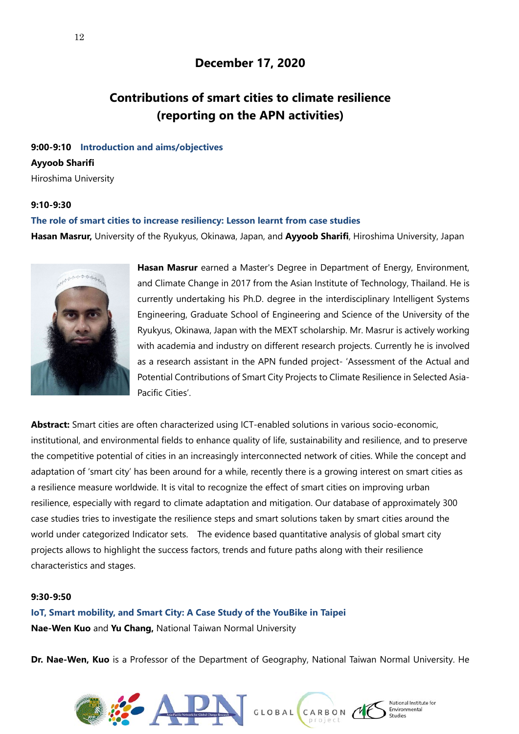# **December 17, 2020**

# **Contributions of smart cities to climate resilience (reporting on the APN activities)**

#### **9:00-9:10 Introduction and aims/objectives**

#### **Ayyoob Sharifi**

Hiroshima University

### **9:10-9:30**

#### **The role of smart cities to increase resiliency: Lesson learnt from case studies**

**Hasan Masrur,** University of the Ryukyus, Okinawa, Japan, and **Ayyoob Sharifi**, Hiroshima University, Japan



**Hasan Masrur** earned a Master's Degree in Department of Energy, Environment, and Climate Change in 2017 from the Asian Institute of Technology, Thailand. He is currently undertaking his Ph.D. degree in the interdisciplinary Intelligent Systems Engineering, Graduate School of Engineering and Science of the University of the Ryukyus, Okinawa, Japan with the MEXT scholarship. Mr. Masrur is actively working with academia and industry on different research projects. Currently he is involved as a research assistant in the APN funded project- 'Assessment of the Actual and Potential Contributions of Smart City Projects to Climate Resilience in Selected Asia-Pacific Cities'.

**Abstract:** Smart cities are often characterized using ICT-enabled solutions in various socio-economic, institutional, and environmental fields to enhance quality of life, sustainability and resilience, and to preserve the competitive potential of cities in an increasingly interconnected network of cities. While the concept and adaptation of 'smart city' has been around for a while, recently there is a growing interest on smart cities as a resilience measure worldwide. It is vital to recognize the effect of smart cities on improving urban resilience, especially with regard to climate adaptation and mitigation. Our database of approximately 300 case studies tries to investigate the resilience steps and smart solutions taken by smart cities around the world under categorized Indicator sets. The evidence based quantitative analysis of global smart city projects allows to highlight the success factors, trends and future paths along with their resilience characteristics and stages.

#### **9:30-9:50**

**IoT, Smart mobility, and Smart City: A Case Study of the YouBike in Taipei Nae-Wen Kuo** and **Yu Chang,** National Taiwan Normal University

**Dr. Nae-Wen, Kuo** is a Professor of the Department of Geography, National Taiwan Normal University. He





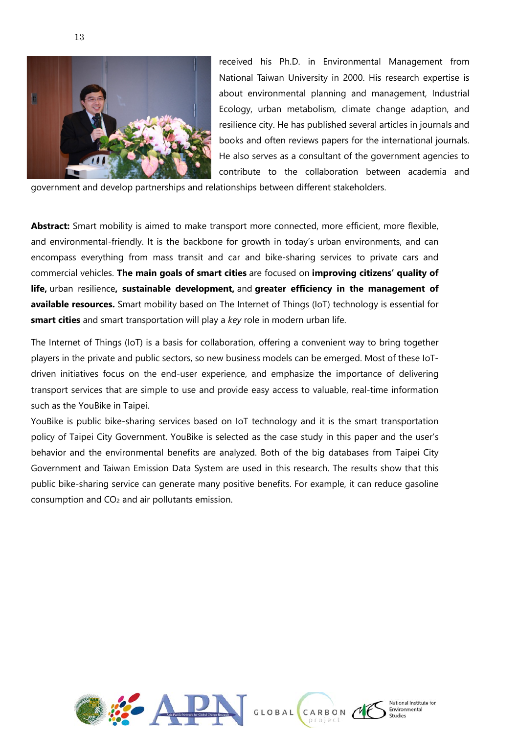

received his Ph.D. in Environmental Management from National Taiwan University in 2000. His research expertise is about environmental planning and management, Industrial Ecology, urban metabolism, climate change adaption, and resilience city. He has published several articles in journals and books and often reviews papers for the international journals. He also serves as a consultant of the government agencies to contribute to the collaboration between academia and

government and develop partnerships and relationships between different stakeholders.

**Abstract:** Smart mobility is aimed to make transport more connected, more efficient, more flexible, and environmental-friendly. It is the backbone for growth in today's urban environments, and can encompass everything from mass transit and car and bike-sharing services to private cars and commercial vehicles. **The main goals of smart cities** are focused on **improving citizens' quality of life,** urban resilience**, sustainable development,** and **greater efficiency in the management of available resources.** Smart mobility based on The Internet of Things (IoT) technology is essential for **smart cities** and smart transportation will play a *key* role in modern urban life.

The Internet of Things (IoT) is a basis for collaboration, offering a convenient way to bring together players in the private and public sectors, so new business models can be emerged. Most of these IoTdriven initiatives focus on the end-user experience, and emphasize the importance of delivering transport services that are simple to use and provide easy access to valuable, real-time information such as the YouBike in Taipei.

YouBike is public bike-sharing services based on IoT technology and it is the smart transportation policy of Taipei City Government. YouBike is selected as the case study in this paper and the user's behavior and the environmental benefits are analyzed. Both of the big databases from Taipei City Government and Taiwan Emission Data System are used in this research. The results show that this public bike-sharing service can generate many positive benefits. For example, it can reduce gasoline consumption and CO2 and air pollutants emission.



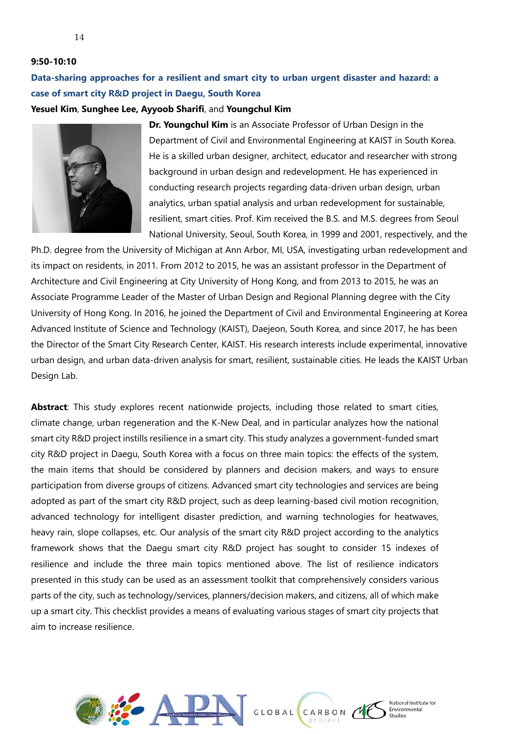#### **9:50-10:10**

## **Data-sharing approaches for a resilient and smart city to urban urgent disaster and hazard: a case of smart city R&D project in Daegu, South Korea**

**Yesuel Kim**, **Sunghee Lee, Ayyoob Sharifi**, and **Youngchul Kim**



**Dr. Youngchul Kim** is an Associate Professor of Urban Design in the Department of Civil and Environmental Engineering at KAIST in South Korea. He is a skilled urban designer, architect, educator and researcher with strong background in urban design and redevelopment. He has experienced in conducting research projects regarding data-driven urban design, urban analytics, urban spatial analysis and urban redevelopment for sustainable, resilient, smart cities. Prof. Kim received the B.S. and M.S. degrees from Seoul National University, Seoul, South Korea, in 1999 and 2001, respectively, and the

Ph.D. degree from the University of Michigan at Ann Arbor, MI, USA, investigating urban redevelopment and its impact on residents, in 2011. From 2012 to 2015, he was an assistant professor in the Department of Architecture and Civil Engineering at City University of Hong Kong, and from 2013 to 2015, he was an Associate Programme Leader of the Master of Urban Design and Regional Planning degree with the City University of Hong Kong. In 2016, he joined the Department of Civil and Environmental Engineering at Korea Advanced Institute of Science and Technology (KAIST), Daejeon, South Korea, and since 2017, he has been the Director of the Smart City Research Center, KAIST. His research interests include experimental, innovative urban design, and urban data-driven analysis for smart, resilient, sustainable cities. He leads the KAIST Urban Design Lab.

**Abstract**: This study explores recent nationwide projects, including those related to smart cities, climate change, urban regeneration and the K-New Deal, and in particular analyzes how the national smart city R&D project instills resilience in a smart city. This study analyzes a government-funded smart city R&D project in Daegu, South Korea with a focus on three main topics: the effects of the system, the main items that should be considered by planners and decision makers, and ways to ensure participation from diverse groups of citizens. Advanced smart city technologies and services are being adopted as part of the smart city R&D project, such as deep learning-based civil motion recognition, advanced technology for intelligent disaster prediction, and warning technologies for heatwaves, heavy rain, slope collapses, etc. Our analysis of the smart city R&D project according to the analytics framework shows that the Daegu smart city R&D project has sought to consider 15 indexes of resilience and include the three main topics mentioned above. The list of resilience indicators presented in this study can be used as an assessment toolkit that comprehensively considers various parts of the city, such as technology/services, planners/decision makers, and citizens, all of which make up a smart city. This checklist provides a means of evaluating various stages of smart city projects that aim to increase resilience.





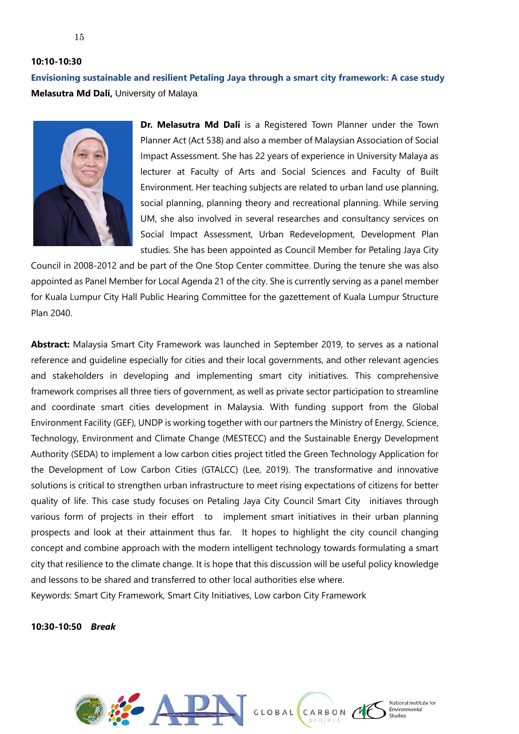**10:10-10:30 Envisioning sustainable and resilient Petaling Jaya through a smart city framework: A case study Melasutra Md Dali,** University of Malaya



**Dr. Melasutra Md Dali** is a Registered Town Planner under the Town Planner Act (Act 538) and also a member of Malaysian Association of Social Impact Assessment. She has 22 years of experience in University Malaya as lecturer at Faculty of Arts and Social Sciences and Faculty of Built Environment. Her teaching subjects are related to urban land use planning, social planning, planning theory and recreational planning. While serving UM, she also involved in several researches and consultancy services on Social Impact Assessment, Urban Redevelopment, Development Plan studies. She has been appointed as Council Member for Petaling Jaya City

Council in 2008-2012 and be part of the One Stop Center committee. During the tenure she was also appointed as Panel Member for Local Agenda 21 of the city. She is currently serving as a panel member for Kuala Lumpur City Hall Public Hearing Committee for the gazettement of Kuala Lumpur Structure Plan 2040.

**Abstract:** Malaysia Smart City Framework was launched in September 2019, to serves as a national reference and guideline especially for cities and their local governments, and other relevant agencies and stakeholders in developing and implementing smart city initiatives. This comprehensive framework comprises all three tiers of government, as well as private sector participation to streamline and coordinate smart cities development in Malaysia. With funding support from the Global Environment Facility (GEF), UNDP is working together with our partners the Ministry of Energy, Science, Technology, Environment and Climate Change (MESTECC) and the Sustainable Energy Development Authority (SEDA) to implement a low carbon cities project titled the Green Technology Application for the Development of Low Carbon Cities (GTALCC) (Lee, 2019). The transformative and innovative solutions is critical to strengthen urban infrastructure to meet rising expectations of citizens for better quality of life. This case study focuses on Petaling Jaya City Council Smart City initiaves through various form of projects in their effort to implement smart initiatives in their urban planning prospects and look at their attainment thus far. It hopes to highlight the city council changing concept and combine approach with the modern intelligent technology towards formulating a smart city that resilience to the climate change. It is hope that this discussion will be useful policy knowledge and lessons to be shared and transferred to other local authorities else where.

Keywords: Smart City Framework, Smart City Initiatives, Low carbon City Framework

**10:30-10:50** *Break*





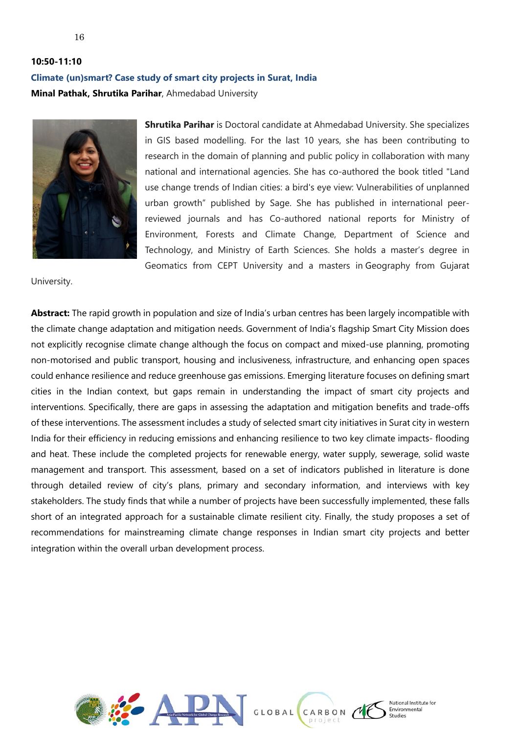

**Shrutika Parihar** is Doctoral candidate at Ahmedabad University. She specializes in GIS based modelling. For the last 10 years, she has been contributing to research in the domain of planning and public policy in collaboration with many national and international agencies. She has co-authored the book titled "Land use change trends of Indian cities: a bird's eye view: Vulnerabilities of unplanned urban growth" published by Sage. She has published in international peerreviewed journals and has Co-authored national reports for Ministry of Environment, Forests and Climate Change, Department of Science and Technology, and Ministry of Earth Sciences. She holds a master's degree in Geomatics from CEPT University and a masters in Geography from Gujarat

University.

**Abstract:** The rapid growth in population and size of India's urban centres has been largely incompatible with the climate change adaptation and mitigation needs. Government of India's flagship Smart City Mission does not explicitly recognise climate change although the focus on compact and mixed-use planning, promoting non-motorised and public transport, housing and inclusiveness, infrastructure, and enhancing open spaces could enhance resilience and reduce greenhouse gas emissions. Emerging literature focuses on defining smart cities in the Indian context, but gaps remain in understanding the impact of smart city projects and interventions. Specifically, there are gaps in assessing the adaptation and mitigation benefits and trade-offs of these interventions. The assessment includes a study of selected smart city initiatives in Surat city in western India for their efficiency in reducing emissions and enhancing resilience to two key climate impacts- flooding and heat. These include the completed projects for renewable energy, water supply, sewerage, solid waste management and transport. This assessment, based on a set of indicators published in literature is done through detailed review of city's plans, primary and secondary information, and interviews with key stakeholders. The study finds that while a number of projects have been successfully implemented, these falls short of an integrated approach for a sustainable climate resilient city. Finally, the study proposes a set of recommendations for mainstreaming climate change responses in Indian smart city projects and better integration within the overall urban development process.





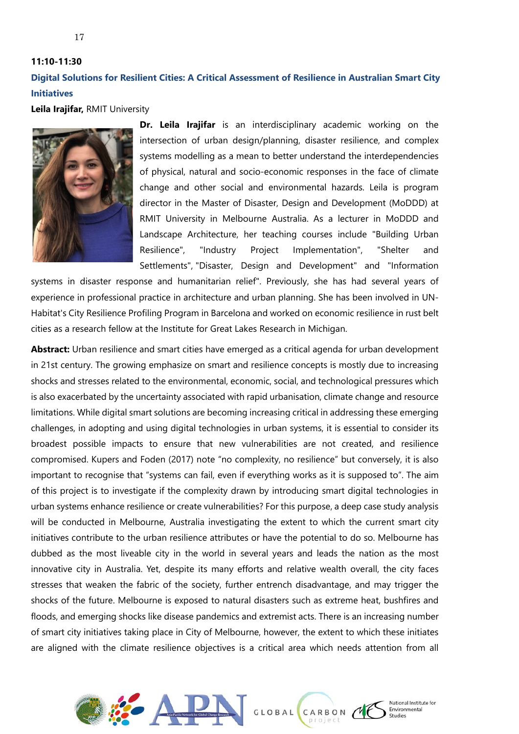# **11:10-11:30 Digital Solutions for Resilient Cities: A Critical Assessment of Resilience in Australian Smart City Initiatives**

**Leila Irajifar,** RMIT University



**Dr. Leila Irajifar** is an interdisciplinary academic working on the intersection of urban design/planning, disaster resilience, and complex systems modelling as a mean to better understand the interdependencies of physical, natural and socio-economic responses in the face of climate change and other social and environmental hazards. Leila is program director in the Master of Disaster, Design and Development (MoDDD) at RMIT University in Melbourne Australia. As a lecturer in MoDDD and Landscape Architecture, her teaching courses include "Building Urban Resilience", "Industry Project Implementation", "Shelter and Settlements", "Disaster, Design and Development" and "Information

systems in disaster response and humanitarian relief". Previously, she has had several years of experience in professional practice in architecture and urban planning. She has been involved in UN-Habitat's City Resilience Profiling Program in Barcelona and worked on economic resilience in rust belt cities as a research fellow at the Institute for Great Lakes Research in Michigan.

**Abstract:** Urban resilience and smart cities have emerged as a critical agenda for urban development in 21st century. The growing emphasize on smart and resilience concepts is mostly due to increasing shocks and stresses related to the environmental, economic, social, and technological pressures which is also exacerbated by the uncertainty associated with rapid urbanisation, climate change and resource limitations. While digital smart solutions are becoming increasing critical in addressing these emerging challenges, in adopting and using digital technologies in urban systems, it is essential to consider its broadest possible impacts to ensure that new vulnerabilities are not created, and resilience compromised. Kupers and Foden (2017) note "no complexity, no resilience" but conversely, it is also important to recognise that "systems can fail, even if everything works as it is supposed to". The aim of this project is to investigate if the complexity drawn by introducing smart digital technologies in urban systems enhance resilience or create vulnerabilities? For this purpose, a deep case study analysis will be conducted in Melbourne, Australia investigating the extent to which the current smart city initiatives contribute to the urban resilience attributes or have the potential to do so. Melbourne has dubbed as the most liveable city in the world in several years and leads the nation as the most innovative city in Australia. Yet, despite its many efforts and relative wealth overall, the city faces stresses that weaken the fabric of the society, further entrench disadvantage, and may trigger the shocks of the future. Melbourne is exposed to natural disasters such as extreme heat, bushfires and floods, and emerging shocks like disease pandemics and extremist acts. There is an increasing number of smart city initiatives taking place in City of Melbourne, however, the extent to which these initiates are aligned with the climate resilience objectives is a critical area which needs attention from all





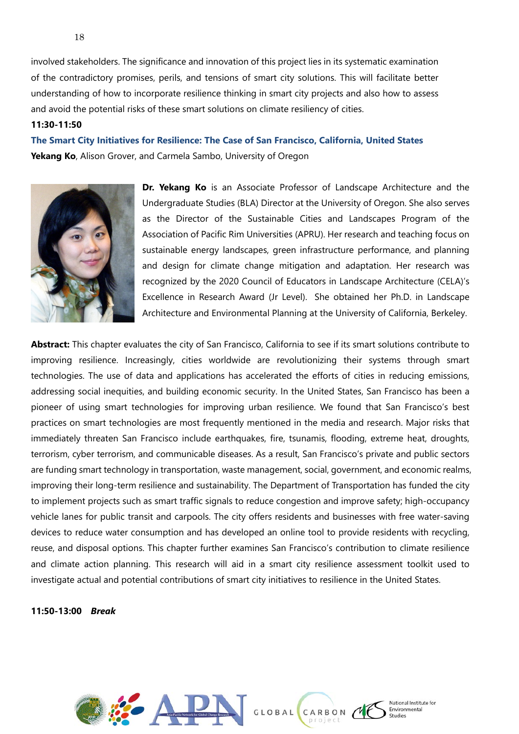involved stakeholders. The significance and innovation of this project lies in its systematic examination of the contradictory promises, perils, and tensions of smart city solutions. This will facilitate better understanding of how to incorporate resilience thinking in smart city projects and also how to assess and avoid the potential risks of these smart solutions on climate resiliency of cities.

#### **11:30-11:50**

**The Smart City Initiatives for Resilience: The Case of San Francisco, California, United States Yekang Ko**, Alison Grover, and Carmela Sambo, University of Oregon



**Dr. Yekang Ko** is an Associate Professor of Landscape Architecture and the Undergraduate Studies (BLA) Director at the University of Oregon. She also serves as the Director of the Sustainable Cities and Landscapes Program of the Association of Pacific Rim Universities (APRU). Her research and teaching focus on sustainable energy landscapes, green infrastructure performance, and planning and design for climate change mitigation and adaptation. Her research was recognized by the 2020 Council of Educators in Landscape Architecture (CELA)'s Excellence in Research Award (Jr Level). She obtained her Ph.D. in Landscape Architecture and Environmental Planning at the University of California, Berkeley.

**Abstract:** This chapter evaluates the city of San Francisco, California to see if its smart solutions contribute to improving resilience. Increasingly, cities worldwide are revolutionizing their systems through smart technologies. The use of data and applications has accelerated the efforts of cities in reducing emissions, addressing social inequities, and building economic security. In the United States, San Francisco has been a pioneer of using smart technologies for improving urban resilience. We found that San Francisco's best practices on smart technologies are most frequently mentioned in the media and research. Major risks that immediately threaten San Francisco include earthquakes, fire, tsunamis, flooding, extreme heat, droughts, terrorism, cyber terrorism, and communicable diseases. As a result, San Francisco's private and public sectors are funding smart technology in transportation, waste management, social, government, and economic realms, improving their long-term resilience and sustainability. The Department of Transportation has funded the city to implement projects such as smart traffic signals to reduce congestion and improve safety; high-occupancy vehicle lanes for public transit and carpools. The city offers residents and businesses with free water-saving devices to reduce water consumption and has developed an online tool to provide residents with recycling, reuse, and disposal options. This chapter further examines San Francisco's contribution to climate resilience and climate action planning. This research will aid in a smart city resilience assessment toolkit used to investigate actual and potential contributions of smart city initiatives to resilience in the United States.

**11:50-13:00** *Break*



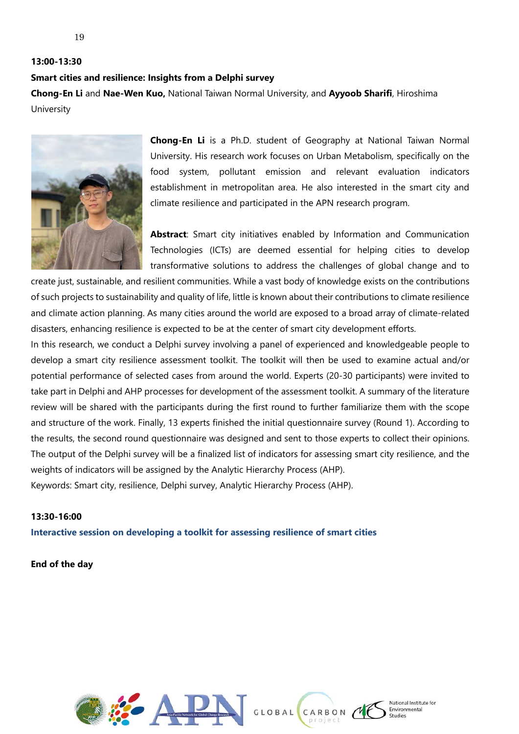# **13:00-13:30 Smart cities and resilience: Insights from a Delphi survey**

**Chong-En Li** and **Nae-Wen Kuo,** National Taiwan Normal University, and **Ayyoob Sharifi**, Hiroshima University



**Chong-En Li** is a Ph.D. student of Geography at National Taiwan Normal University. His research work focuses on Urban Metabolism, specifically on the food system, pollutant emission and relevant evaluation indicators establishment in metropolitan area. He also interested in the smart city and climate resilience and participated in the APN research program.

**Abstract**: Smart city initiatives enabled by Information and Communication Technologies (ICTs) are deemed essential for helping cities to develop transformative solutions to address the challenges of global change and to

create just, sustainable, and resilient communities. While a vast body of knowledge exists on the contributions of such projects to sustainability and quality of life, little is known about their contributions to climate resilience and climate action planning. As many cities around the world are exposed to a broad array of climate-related disasters, enhancing resilience is expected to be at the center of smart city development efforts.

In this research, we conduct a Delphi survey involving a panel of experienced and knowledgeable people to develop a smart city resilience assessment toolkit. The toolkit will then be used to examine actual and/or potential performance of selected cases from around the world. Experts (20-30 participants) were invited to take part in Delphi and AHP processes for development of the assessment toolkit. A summary of the literature review will be shared with the participants during the first round to further familiarize them with the scope and structure of the work. Finally, 13 experts finished the initial questionnaire survey (Round 1). According to the results, the second round questionnaire was designed and sent to those experts to collect their opinions. The output of the Delphi survey will be a finalized list of indicators for assessing smart city resilience, and the weights of indicators will be assigned by the Analytic Hierarchy Process (AHP). Keywords: Smart city, resilience, Delphi survey, Analytic Hierarchy Process (AHP).

#### **13:30-16:00**

**Interactive session on developing a toolkit for assessing resilience of smart cities**

**End of the day**





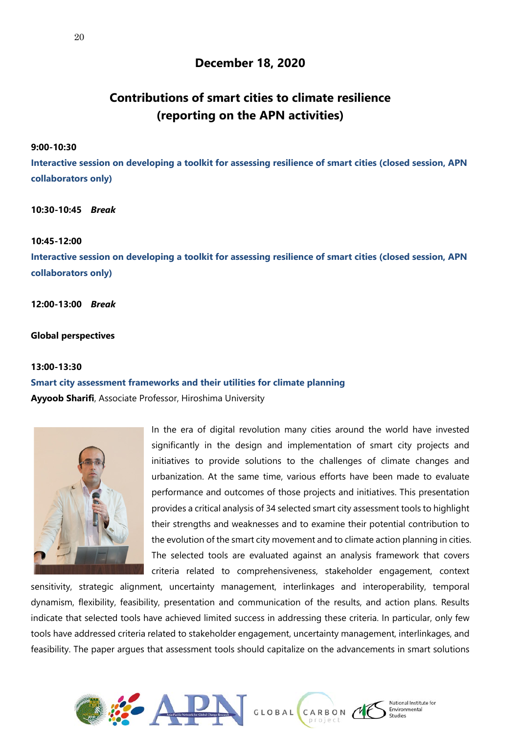## **December 18, 2020**

# **Contributions of smart cities to climate resilience (reporting on the APN activities)**

#### **9:00-10:30**

**Interactive session on developing a toolkit for assessing resilience of smart cities (closed session, APN collaborators only)**

**10:30-10:45** *Break*

#### **10:45-12:00**

**Interactive session on developing a toolkit for assessing resilience of smart cities (closed session, APN collaborators only)**

**12:00-13:00** *Break*

#### **Global perspectives**

#### **13:00-13:30**

**Smart city assessment frameworks and their utilities for climate planning Ayyoob Sharifi**, Associate Professor, Hiroshima University



In the era of digital revolution many cities around the world have invested significantly in the design and implementation of smart city projects and initiatives to provide solutions to the challenges of climate changes and urbanization. At the same time, various efforts have been made to evaluate performance and outcomes of those projects and initiatives. This presentation provides a critical analysis of 34 selected smart city assessment tools to highlight their strengths and weaknesses and to examine their potential contribution to the evolution of the smart city movement and to climate action planning in cities. The selected tools are evaluated against an analysis framework that covers criteria related to comprehensiveness, stakeholder engagement, context

sensitivity, strategic alignment, uncertainty management, interlinkages and interoperability, temporal dynamism, flexibility, feasibility, presentation and communication of the results, and action plans. Results indicate that selected tools have achieved limited success in addressing these criteria. In particular, only few tools have addressed criteria related to stakeholder engagement, uncertainty management, interlinkages, and feasibility. The paper argues that assessment tools should capitalize on the advancements in smart solutions



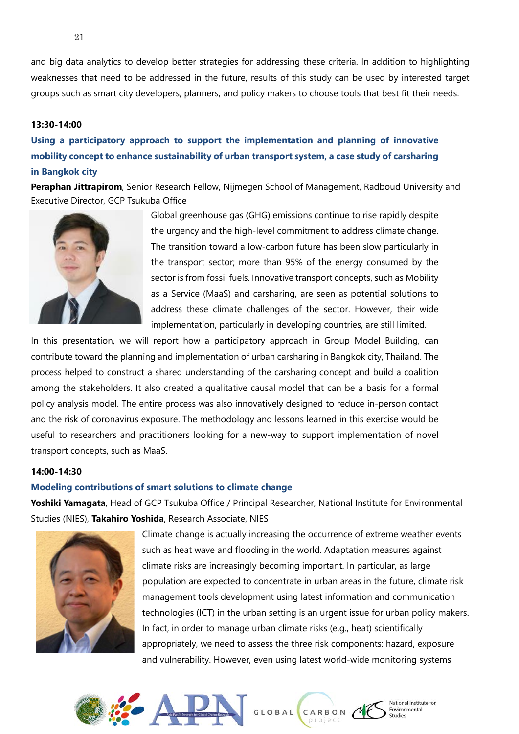and big data analytics to develop better strategies for addressing these criteria. In addition to highlighting weaknesses that need to be addressed in the future, results of this study can be used by interested target groups such as smart city developers, planners, and policy makers to choose tools that best fit their needs.

#### **13:30-14:00**

## **Using a participatory approach to support the implementation and planning of innovative mobility concept to enhance sustainability of urban transport system, a case study of carsharing in Bangkok city**

**Peraphan Jittrapirom**, Senior Research Fellow, Nijmegen School of Management, Radboud University and Executive Director, GCP Tsukuba Office



Global greenhouse gas (GHG) emissions continue to rise rapidly despite the urgency and the high-level commitment to address climate change. The transition toward a low-carbon future has been slow particularly in the transport sector; more than 95% of the energy consumed by the sector is from fossil fuels. Innovative transport concepts, such as Mobility as a Service (MaaS) and carsharing, are seen as potential solutions to address these climate challenges of the sector. However, their wide implementation, particularly in developing countries, are still limited.

In this presentation, we will report how a participatory approach in Group Model Building, can contribute toward the planning and implementation of urban carsharing in Bangkok city, Thailand. The process helped to construct a shared understanding of the carsharing concept and build a coalition among the stakeholders. It also created a qualitative causal model that can be a basis for a formal policy analysis model. The entire process was also innovatively designed to reduce in-person contact and the risk of coronavirus exposure. The methodology and lessons learned in this exercise would be useful to researchers and practitioners looking for a new-way to support implementation of novel transport concepts, such as MaaS.

#### **14:00-14:30**

#### **Modeling contributions of smart solutions to climate change**

**Yoshiki Yamagata**, Head of GCP Tsukuba Office / Principal Researcher, National Institute for Environmental Studies (NIES), **Takahiro Yoshida**, Research Associate, NIES



Climate change is actually increasing the occurrence of extreme weather events such as heat wave and flooding in the world. Adaptation measures against climate risks are increasingly becoming important. In particular, as large population are expected to concentrate in urban areas in the future, climate risk management tools development using latest information and communication technologies (ICT) in the urban setting is an urgent issue for urban policy makers. In fact, in order to manage urban climate risks (e.g., heat) scientifically appropriately, we need to assess the three risk components: hazard, exposure and vulnerability. However, even using latest world-wide monitoring systems



**GLOBAL** CARBON